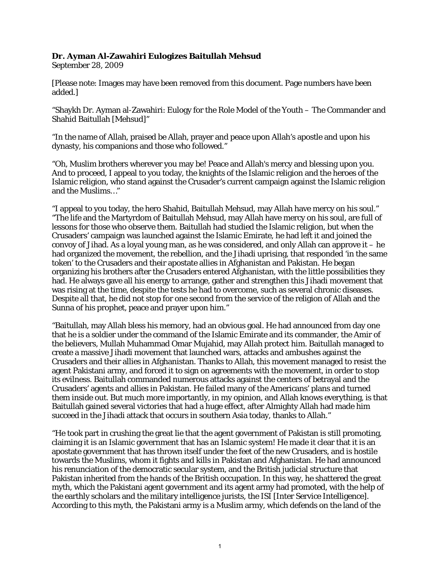## **Dr. Ayman Al-Zawahiri Eulogizes Baitullah Mehsud**

September 28, 2009

[Please note: Images may have been removed from this document. Page numbers have been added.]

"Shaykh Dr. Ayman al-Zawahiri: Eulogy for the Role Model of the Youth – The Commander and Shahid Baitullah [Mehsud]"

"In the name of Allah, praised be Allah, prayer and peace upon Allah's apostle and upon his dynasty, his companions and those who followed."

"Oh, Muslim brothers wherever you may be! Peace and Allah's mercy and blessing upon you. And to proceed, I appeal to you today, the knights of the Islamic religion and the heroes of the Islamic religion, who stand against the Crusader's current campaign against the Islamic religion and the Muslims…"

"I appeal to you today, the hero Shahid, Baitullah Mehsud, may Allah have mercy on his soul." "The life and the Martyrdom of Baitullah Mehsud, may Allah have mercy on his soul, are full of lessons for those who observe them. Baitullah had studied the Islamic religion, but when the Crusaders' campaign was launched against the Islamic Emirate, he had left it and joined the convoy of Jihad. As a loyal young man, as he was considered, and only Allah can approve it – he had organized the movement, the rebellion, and the Jihadi uprising, that responded 'in the same token' to the Crusaders and their apostate allies in Afghanistan and Pakistan. He began organizing his brothers after the Crusaders entered Afghanistan, with the little possibilities they had. He always gave all his energy to arrange, gather and strengthen this Jihadi movement that was rising at the time, despite the tests he had to overcome, such as several chronic diseases. Despite all that, he did not stop for one second from the service of the religion of Allah and the Sunna of his prophet, peace and prayer upon him."

"Baitullah, may Allah bless his memory, had an obvious goal. He had announced from day one that he is a soldier under the command of the Islamic Emirate and its commander, the Amir of the believers, Mullah Muhammad Omar Mujahid, may Allah protect him. Baitullah managed to create a massive Jihadi movement that launched wars, attacks and ambushes against the Crusaders and their allies in Afghanistan. Thanks to Allah, this movement managed to resist the agent Pakistani army, and forced it to sign on agreements with the movement, in order to stop its evilness. Baitullah commanded numerous attacks against the centers of betrayal and the Crusaders' agents and allies in Pakistan. He failed many of the Americans' plans and turned them inside out. But much more importantly, in my opinion, and Allah knows everything, is that Baitullah gained several victories that had a huge effect, after Almighty Allah had made him succeed in the Jihadi attack that occurs in southern Asia today, thanks to Allah."

"He took part in crushing the great lie that the agent government of Pakistan is still promoting, claiming it is an Islamic government that has an Islamic system! He made it clear that it is an apostate government that has thrown itself under the feet of the new Crusaders, and is hostile towards the Muslims, whom it fights and kills in Pakistan and Afghanistan. He had announced his renunciation of the democratic secular system, and the British judicial structure that Pakistan inherited from the hands of the British occupation. In this way, he shattered the great myth, which the Pakistani agent government and its agent army had promoted, with the help of the earthly scholars and the military intelligence jurists, the ISI [Inter Service Intelligence]. According to this myth, the Pakistani army is a Muslim army, which defends on the land of the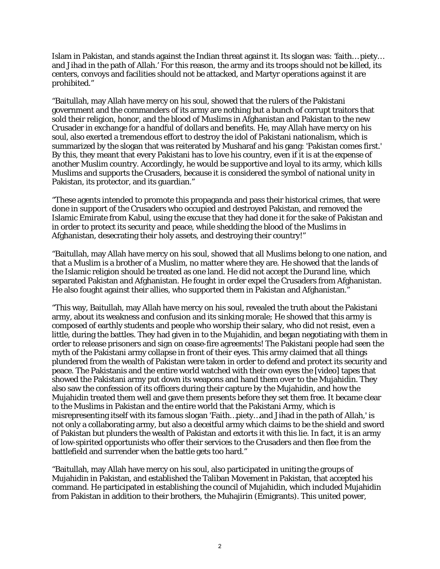Islam in Pakistan, and stands against the Indian threat against it. Its slogan was: 'faith… piety… and Jihad in the path of Allah.' For this reason, the army and its troops should not be killed, its centers, convoys and facilities should not be attacked, and Martyr operations against it are prohibited."

"Baitullah, may Allah have mercy on his soul, showed that the rulers of the Pakistani government and the commanders of its army are nothing but a bunch of corrupt traitors that sold their religion, honor, and the blood of Muslims in Afghanistan and Pakistan to the new Crusader in exchange for a handful of dollars and benefits. He, may Allah have mercy on his soul, also exerted a tremendous effort to destroy the idol of Pakistani nationalism, which is summarized by the slogan that was reiterated by Musharaf and his gang: 'Pakistan comes first.' By this, they meant that every Pakistani has to love his country, even if it is at the expense of another Muslim country. Accordingly, he would be supportive and loyal to its army, which kills Muslims and supports the Crusaders, because it is considered the symbol of national unity in Pakistan, its protector, and its guardian."

"These agents intended to promote this propaganda and pass their historical crimes, that were done in support of the Crusaders who occupied and destroyed Pakistan, and removed the Islamic Emirate from Kabul, using the excuse that they had done it for the sake of Pakistan and in order to protect its security and peace, while shedding the blood of the Muslims in Afghanistan, desecrating their holy assets, and destroying their country!"

"Baitullah, may Allah have mercy on his soul, showed that all Muslims belong to one nation, and that a Muslim is a brother of a Muslim, no matter where they are. He showed that the lands of the Islamic religion should be treated as one land. He did not accept the Durand line, which separated Pakistan and Afghanistan. He fought in order expel the Crusaders from Afghanistan. He also fought against their allies, who supported them in Pakistan and Afghanistan."

"This way, Baitullah, may Allah have mercy on his soul, revealed the truth about the Pakistani army, about its weakness and confusion and its sinking morale; He showed that this army is composed of earthly students and people who worship their salary, who did not resist, even a little, during the battles. They had given in to the Mujahidin, and began negotiating with them in order to release prisoners and sign on cease-fire agreements! The Pakistani people had seen the myth of the Pakistani army collapse in front of their eyes. This army claimed that all things plundered from the wealth of Pakistan were taken in order to defend and protect its security and peace. The Pakistanis and the entire world watched with their own eyes the [video] tapes that showed the Pakistani army put down its weapons and hand them over to the Mujahidin. They also saw the confession of its officers during their capture by the Mujahidin, and how the Mujahidin treated them well and gave them presents before they set them free. It became clear to the Muslims in Pakistan and the entire world that the Pakistani Army, which is misrepresenting itself with its famous slogan 'Faith…piety…and Jihad in the path of Allah,' is not only a collaborating army, but also a deceitful army which claims to be the shield and sword of Pakistan but plunders the wealth of Pakistan and extorts it with this lie. In fact, it is an army of low-spirited opportunists who offer their services to the Crusaders and then flee from the battlefield and surrender when the battle gets too hard."

"Baitullah, may Allah have mercy on his soul, also participated in uniting the groups of Mujahidin in Pakistan, and established the Taliban Movement in Pakistan, that accepted his command. He participated in establishing the council of Mujahidin, which included Mujahidin from Pakistan in addition to their brothers, the Muhajirin (Emigrants). This united power,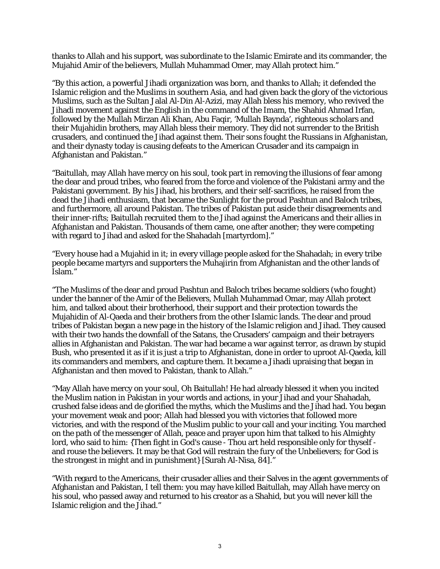thanks to Allah and his support, was subordinate to the Islamic Emirate and its commander, the Mujahid Amir of the believers, Mullah Muhammad Omer, may Allah protect him."

"By this action, a powerful Jihadi organization was born, and thanks to Allah; it defended the Islamic religion and the Muslims in southern Asia, and had given back the glory of the victorious Muslims, such as the Sultan Jalal Al-Din Al-Azizi, may Allah bless his memory, who revived the Jihadi movement against the English in the command of the Imam, the Shahid Ahmad Irfan, followed by the Mullah Mirzan Ali Khan, Abu Faqir, 'Mullah Baynda', righteous scholars and their Mujahidin brothers, may Allah bless their memory. They did not surrender to the British crusaders, and continued the Jihad against them. Their sons fought the Russians in Afghanistan, and their dynasty today is causing defeats to the American Crusader and its campaign in Afghanistan and Pakistan."

"Baitullah, may Allah have mercy on his soul, took part in removing the illusions of fear among the dear and proud tribes, who feared from the force and violence of the Pakistani army and the Pakistani government. By his Jihad, his brothers, and their self-sacrifices, he raised from the dead the Jihadi enthusiasm, that became the Sunlight for the proud Pashtun and Baloch tribes, and furthermore, all around Pakistan. The tribes of Pakistan put aside their disagreements and their inner-rifts; Baitullah recruited them to the Jihad against the Americans and their allies in Afghanistan and Pakistan. Thousands of them came, one after another; they were competing with regard to Jihad and asked for the Shahadah [martyrdom]."

"Every house had a Mujahid in it; in every village people asked for the Shahadah; in every tribe people became martyrs and supporters the Muhajirin from Afghanistan and the other lands of Islam."

"The Muslims of the dear and proud Pashtun and Baloch tribes became soldiers (who fought) under the banner of the Amir of the Believers, Mullah Muhammad Omar, may Allah protect him, and talked about their brotherhood, their support and their protection towards the Mujahidin of Al-Qaeda and their brothers from the other Islamic lands. The dear and proud tribes of Pakistan began a new page in the history of the Islamic religion and Jihad. They caused with their two hands the downfall of the Satans, the Crusaders' campaign and their betrayers allies in Afghanistan and Pakistan. The war had became a war against terror, as drawn by stupid Bush, who presented it as if it is just a trip to Afghanistan, done in order to uproot Al-Qaeda, kill its commanders and members, and capture them. It became a Jihadi upraising that began in Afghanistan and then moved to Pakistan, thank to Allah."

"May Allah have mercy on your soul, Oh Baitullah! He had already blessed it when you incited the Muslim nation in Pakistan in your words and actions, in your Jihad and your Shahadah, crushed false ideas and de glorified the myths, which the Muslims and the Jihad had. You began your movement weak and poor; Allah had blessed you with victories that followed more victories, and with the respond of the Muslim public to your call and your inciting. You marched on the path of the messenger of Allah, peace and prayer upon him that talked to his Almighty lord, who said to him: {Then fight in God's cause - Thou art held responsible only for thyself and rouse the believers. It may be that God will restrain the fury of the Unbelievers; for God is the strongest in might and in punishment} [Surah Al-Nisa, 84]."

"With regard to the Americans, their crusader allies and their Salves in the agent governments of Afghanistan and Pakistan, I tell them: you may have killed Baitullah, may Allah have mercy on his soul, who passed away and returned to his creator as a Shahid, but you will never kill the Islamic religion and the Jihad."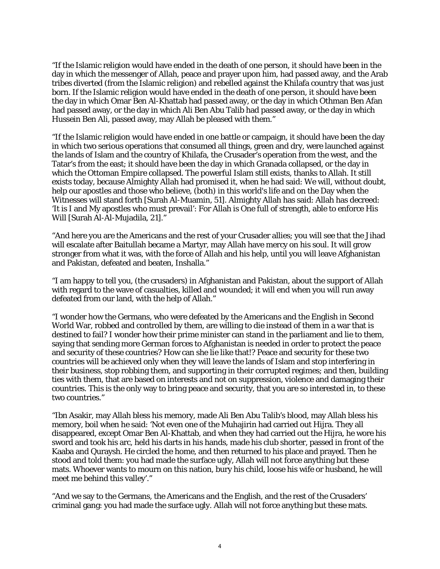"If the Islamic religion would have ended in the death of one person, it should have been in the day in which the messenger of Allah, peace and prayer upon him, had passed away, and the Arab tribes diverted (from the Islamic religion) and rebelled against the Khilafa country that was just born. If the Islamic religion would have ended in the death of one person, it should have been the day in which Omar Ben Al-Khattab had passed away, or the day in which Othman Ben Afan had passed away, or the day in which Ali Ben Abu Talib had passed away, or the day in which Hussein Ben Ali, passed away, may Allah be pleased with them."

"If the Islamic religion would have ended in one battle or campaign, it should have been the day in which two serious operations that consumed all things, green and dry, were launched against the lands of Islam and the country of Khilafa, the Crusader's operation from the west, and the Tatar's from the east; it should have been the day in which Granada collapsed, or the day in which the Ottoman Empire collapsed. The powerful Islam still exists, thanks to Allah. It still exists today, because Almighty Allah had promised it, when he had said: We will, without doubt, help our apostles and those who believe, (both) in this world's life and on the Day when the Witnesses will stand forth [Surah Al-Muamin, 51]. Almighty Allah has said: Allah has decreed: 'It is I and My apostles who must prevail': For Allah is One full of strength, able to enforce His Will [Surah Al-Al-Mujadila, 21]."

"And here you are the Americans and the rest of your Crusader allies; you will see that the Jihad will escalate after Baitullah became a Martyr, may Allah have mercy on his soul. It will grow stronger from what it was, with the force of Allah and his help, until you will leave Afghanistan and Pakistan, defeated and beaten, Inshalla."

"I am happy to tell you, (the crusaders) in Afghanistan and Pakistan, about the support of Allah with regard to the wave of casualties, killed and wounded; it will end when you will run away defeated from our land, with the help of Allah."

"I wonder how the Germans, who were defeated by the Americans and the English in Second World War, robbed and controlled by them, are willing to die instead of them in a war that is destined to fail? I wonder how their prime minister can stand in the parliament and lie to them, saying that sending more German forces to Afghanistan is needed in order to protect the peace and security of these countries? How can she lie like that!? Peace and security for these two countries will be achieved only when they will leave the lands of Islam and stop interfering in their business, stop robbing them, and supporting in their corrupted regimes; and then, building ties with them, that are based on interests and not on suppression, violence and damaging their countries. This is the only way to bring peace and security, that you are so interested in, to these two countries."

"Ibn Asakir, may Allah bless his memory, made Ali Ben Abu Talib's blood, may Allah bless his memory, boil when he said: 'Not even one of the Muhajirin had carried out Hijra. They all disappeared, except Omar Ben Al-Khattab, and when they had carried out the Hijra, he wore his sword and took his arc, held his darts in his hands, made his club shorter, passed in front of the Kaaba and Quraysh. He circled the home, and then returned to his place and prayed. Then he stood and told them: you had made the surface ugly, Allah will not force anything but these mats. Whoever wants to mourn on this nation, bury his child, loose his wife or husband, he will meet me behind this valley'."

"And we say to the Germans, the Americans and the English, and the rest of the Crusaders' criminal gang: you had made the surface ugly. Allah will not force anything but these mats.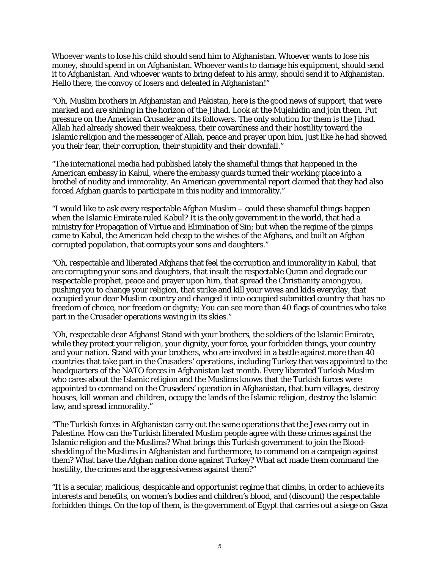Whoever wants to lose his child should send him to Afghanistan. Whoever wants to lose his money, should spend in on Afghanistan. Whoever wants to damage his equipment, should send it to Afghanistan. And whoever wants to bring defeat to his army, should send it to Afghanistan. Hello there, the convoy of losers and defeated in Afghanistan!"

"Oh, Muslim brothers in Afghanistan and Pakistan, here is the good news of support, that were marked and are shining in the horizon of the Jihad. Look at the Mujahidin and join them. Put pressure on the American Crusader and its followers. The only solution for them is the Jihad. Allah had already showed their weakness, their cowardness and their hostility toward the Islamic religion and the messenger of Allah, peace and prayer upon him, just like he had showed you their fear, their corruption, their stupidity and their downfall."

"The international media had published lately the shameful things that happened in the American embassy in Kabul, where the embassy guards turned their working place into a brothel of nudity and immorality. An American governmental report claimed that they had also forced Afghan guards to participate in this nudity and immorality."

"I would like to ask every respectable Afghan Muslim – could these shameful things happen when the Islamic Emirate ruled Kabul? It is the only government in the world, that had a ministry for Propagation of Virtue and Elimination of Sin; but when the regime of the pimps came to Kabul, the American held cheap to the wishes of the Afghans, and built an Afghan corrupted population, that corrupts your sons and daughters."

"Oh, respectable and liberated Afghans that feel the corruption and immorality in Kabul, that are corrupting your sons and daughters, that insult the respectable Quran and degrade our respectable prophet, peace and prayer upon him, that spread the Christianity among you, pushing you to change your religion, that strike and kill your wives and kids everyday, that occupied your dear Muslim country and changed it into occupied submitted country that has no freedom of choice, nor freedom or dignity; You can see more than 40 flags of countries who take part in the Crusader operations waving in its skies."

"Oh, respectable dear Afghans! Stand with your brothers, the soldiers of the Islamic Emirate, while they protect your religion, your dignity, your force, your forbidden things, your country and your nation. Stand with your brothers, who are involved in a battle against more than 40 countries that take part in the Crusaders' operations, including Turkey that was appointed to the headquarters of the NATO forces in Afghanistan last month. Every liberated Turkish Muslim who cares about the Islamic religion and the Muslims knows that the Turkish forces were appointed to command on the Crusaders' operation in Afghanistan, that burn villages, destroy houses, kill woman and children, occupy the lands of the Islamic religion, destroy the Islamic law, and spread immorality."

"The Turkish forces in Afghanistan carry out the same operations that the Jews carry out in Palestine. How can the Turkish liberated Muslim people agree with these crimes against the Islamic religion and the Muslims? What brings this Turkish government to join the Bloodshedding of the Muslims in Afghanistan and furthermore, to command on a campaign against them? What have the Afghan nation done against Turkey? What act made them command the hostility, the crimes and the aggressiveness against them?"

"It is a secular, malicious, despicable and opportunist regime that climbs, in order to achieve its interests and benefits, on women's bodies and children's blood, and (discount) the respectable forbidden things. On the top of them, is the government of Egypt that carries out a siege on Gaza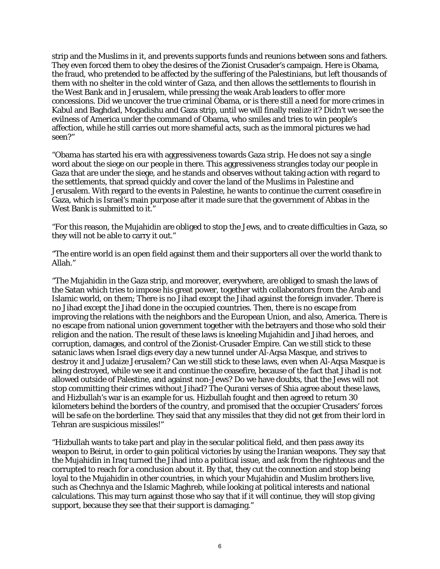strip and the Muslims in it, and prevents supports funds and reunions between sons and fathers. They even forced them to obey the desires of the Zionist Crusader's campaign. Here is Obama, the fraud, who pretended to be affected by the suffering of the Palestinians, but left thousands of them with no shelter in the cold winter of Gaza, and then allows the settlements to flourish in the West Bank and in Jerusalem, while pressing the weak Arab leaders to offer more concessions. Did we uncover the true criminal Obama, or is there still a need for more crimes in Kabul and Baghdad, Mogadishu and Gaza strip, until we will finally realize it? Didn't we see the evilness of America under the command of Obama, who smiles and tries to win people's affection, while he still carries out more shameful acts, such as the immoral pictures we had seen?"

"Obama has started his era with aggressiveness towards Gaza strip. He does not say a single word about the siege on our people in there. This aggressiveness strangles today our people in Gaza that are under the siege, and he stands and observes without taking action with regard to the settlements, that spread quickly and cover the land of the Muslims in Palestine and Jerusalem. With regard to the events in Palestine, he wants to continue the current ceasefire in Gaza, which is Israel's main purpose after it made sure that the government of Abbas in the West Bank is submitted to it."

"For this reason, the Mujahidin are obliged to stop the Jews, and to create difficulties in Gaza, so they will not be able to carry it out."

"The entire world is an open field against them and their supporters all over the world thank to Allah."

"The Mujahidin in the Gaza strip, and moreover, everywhere, are obliged to smash the laws of the Satan which tries to impose his great power, together with collaborators from the Arab and Islamic world, on them; There is no Jihad except the Jihad against the foreign invader. There is no Jihad except the Jihad done in the occupied countries. Then, there is no escape from improving the relations with the neighbors and the European Union, and also, America. There is no escape from national union government together with the betrayers and those who sold their religion and the nation. The result of these laws is kneeling Mujahidin and Jihad heroes, and corruption, damages, and control of the Zionist-Crusader Empire. Can we still stick to these satanic laws when Israel digs every day a new tunnel under Al-Aqsa Masque, and strives to destroy it and Judaize Jerusalem? Can we still stick to these laws, even when Al-Aqsa Masque is being destroyed, while we see it and continue the ceasefire, because of the fact that Jihad is not allowed outside of Palestine, and against non-Jews? Do we have doubts, that the Jews will not stop committing their crimes without Jihad? The Qurani verses of Shia agree about these laws, and Hizbullah's war is an example for us. Hizbullah fought and then agreed to return 30 kilometers behind the borders of the country, and promised that the occupier Crusaders' forces will be safe on the borderline. They said that any missiles that they did not get from their lord in Tehran are suspicious missiles!"

"Hizbullah wants to take part and play in the secular political field, and then pass away its weapon to Beirut, in order to gain political victories by using the Iranian weapons. They say that the Mujahidin in Iraq turned the Jihad into a political issue, and ask from the righteous and the corrupted to reach for a conclusion about it. By that, they cut the connection and stop being loyal to the Mujahidin in other countries, in which your Mujahidin and Muslim brothers live, such as Chechnya and the Islamic Maghreb, while looking at political interests and national calculations. This may turn against those who say that if it will continue, they will stop giving support, because they see that their support is damaging."